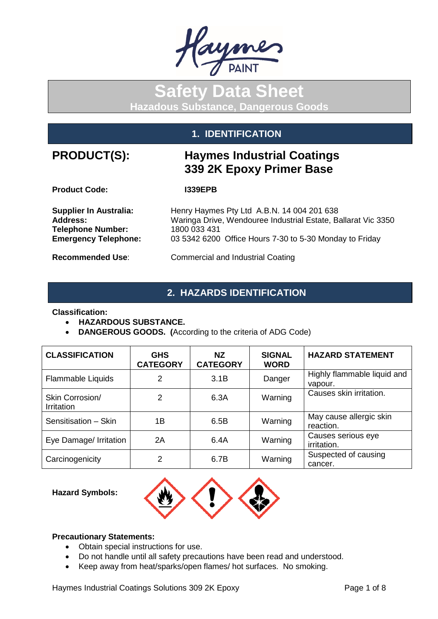

# **Safety Data Sheet Hazadous Substance, Dangerous Goods**

## **1. IDENTIFICATION**

## **PRODUCT(S): Haymes Industrial Coatings 339 2K Epoxy Primer Base**

**Product Code: I339EPB**

**Telephone Number:<br>Emergency Telephone:** 

**Supplier In Australia:** Henry Haymes Pty Ltd A.B.N. 14 004 201 638<br>Maringa Drive, Wendouree Industrial Estate, Ba Waringa Drive, Wendouree Industrial Estate, Ballarat Vic 3350<br>1800 033 431 **Emergency Telephone:** 03 5342 6200 Office Hours 7-30 to 5-30 Monday to Friday

**Recommended Use**: Commercial and Industrial Coating

## **2. HAZARDS IDENTIFICATION**

**Classification:** 

- **HAZARDOUS SUBSTANCE.**
- **DANGEROUS GOODS. (**According to the criteria of ADG Code)

| <b>CLASSIFICATION</b>                | <b>GHS</b><br><b>CATEGORY</b> | NZ.<br><b>CATEGORY</b> | <b>SIGNAL</b><br><b>WORD</b> | <b>HAZARD STATEMENT</b>                |
|--------------------------------------|-------------------------------|------------------------|------------------------------|----------------------------------------|
| Flammable Liquids                    | 2                             | 3.1B                   | Danger                       | Highly flammable liquid and<br>vapour. |
| Skin Corrosion/<br><b>Irritation</b> | 2                             | 6.3A                   | Warning                      | Causes skin irritation.                |
| Sensitisation - Skin                 | 1Β                            | 6.5B                   | Warning                      | May cause allergic skin<br>reaction.   |
| Eye Damage/ Irritation               | 2A                            | 6.4A                   | Warning                      | Causes serious eye<br>irritation.      |
| Carcinogenicity                      | 2                             | 6.7B                   | Warning                      | Suspected of causing<br>cancer.        |

### **Hazard Symbols:**



### **Precautionary Statements:**

- Obtain special instructions for use.
- Do not handle until all safety precautions have been read and understood.
- Keep away from heat/sparks/open flames/ hot surfaces. No smoking.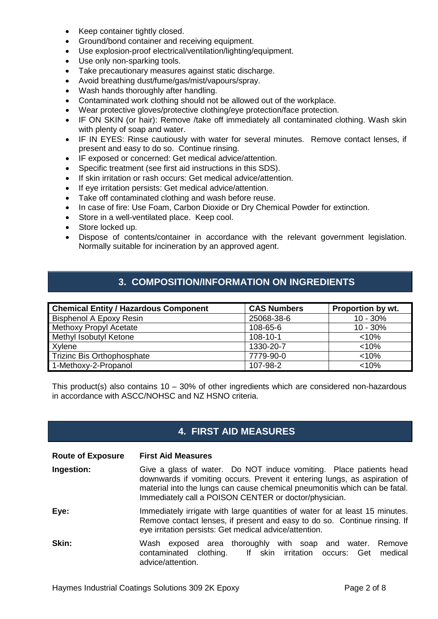- Keep container tightly closed.
- Ground/bond container and receiving equipment.
- Use explosion-proof electrical/ventilation/lighting/equipment.
- Use only non-sparking tools.
- Take precautionary measures against static discharge.
- Avoid breathing dust/fume/gas/mist/vapours/spray.
- Wash hands thoroughly after handling.
- Contaminated work clothing should not be allowed out of the workplace.
- Wear protective gloves/protective clothing/eye protection/face protection.
- IF ON SKIN (or hair): Remove /take off immediately all contaminated clothing. Wash skin with plenty of soap and water.
- IF IN EYES: Rinse cautiously with water for several minutes. Remove contact lenses, if present and easy to do so. Continue rinsing.
- IF exposed or concerned: Get medical advice/attention.
- Specific treatment (see first aid instructions in this SDS).
- If skin irritation or rash occurs: Get medical advice/attention.
- If eye irritation persists: Get medical advice/attention.
- Take off contaminated clothing and wash before reuse.
- In case of fire: Use Foam, Carbon Dioxide or Dry Chemical Powder for extinction.
- Store in a well-ventilated place. Keep cool.
- Store locked up.
- Dispose of contents/container in accordance with the relevant government legislation. Normally suitable for incineration by an approved agent.

## **3. COMPOSITION/INFORMATION ON INGREDIENTS**

| <b>Chemical Entity / Hazardous Component</b> | <b>CAS Numbers</b> | Proportion by wt. |
|----------------------------------------------|--------------------|-------------------|
| <b>Bisphenol A Epoxy Resin</b>               | 25068-38-6         | $10 - 30%$        |
| <b>Methoxy Propyl Acetate</b>                | 108-65-6           | $10 - 30%$        |
| Methyl Isobutyl Ketone                       | $108 - 10 - 1$     | < 10%             |
| Xylene                                       | 1330-20-7          | < 10%             |
| <b>Trizinc Bis Orthophosphate</b>            | 7779-90-0          | < 10%             |
| 1-Methoxy-2-Propanol                         | 107-98-2           | < 10%             |

This product(s) also contains  $10 - 30\%$  of other ingredients which are considered non-hazardous in accordance with ASCC/NOHSC and NZ HSNO criteria.

## **4. FIRST AID MEASURES**

**Route of Exposure First Aid Measures**

- **Ingestion:** Give a glass of water. Do NOT induce vomiting. Place patients head downwards if vomiting occurs. Prevent it entering lungs, as aspiration of material into the lungs can cause chemical pneumonitis which can be fatal. Immediately call a POISON CENTER or doctor/physician.
- **Eye:** Immediately irrigate with large quantities of water for at least 15 minutes. Remove contact lenses, if present and easy to do so. Continue rinsing. If eye irritation persists: Get medical advice/attention.
- **Skin:** Wash exposed area thoroughly with soap and water. Remove contaminated clothing. If skin irritation occurs: Get medical advice/attention.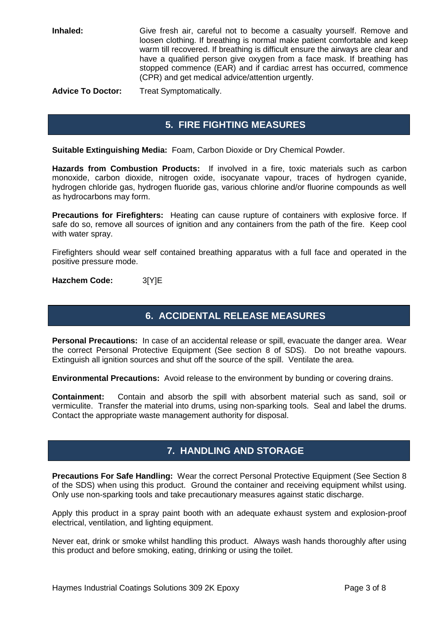**Inhaled:** Give fresh air, careful not to become a casualty yourself. Remove and loosen clothing. If breathing is normal make patient comfortable and keep warm till recovered. If breathing is difficult ensure the airways are clear and have a qualified person give oxygen from a face mask. If breathing has stopped commence (EAR) and if cardiac arrest has occurred, commence (CPR) and get medical advice/attention urgently.

**Advice To Doctor:** Treat Symptomatically.

## **5. FIRE FIGHTING MEASURES**

**Suitable Extinguishing Media:** Foam, Carbon Dioxide or Dry Chemical Powder.

**Hazards from Combustion Products:** If involved in a fire, toxic materials such as carbon monoxide, carbon dioxide, nitrogen oxide, isocyanate vapour, traces of hydrogen cyanide, hydrogen chloride gas, hydrogen fluoride gas, various chlorine and/or fluorine compounds as well as hydrocarbons may form.

**Precautions for Firefighters:** Heating can cause rupture of containers with explosive force. If safe do so, remove all sources of ignition and any containers from the path of the fire. Keep cool with water spray.

Firefighters should wear self contained breathing apparatus with a full face and operated in the positive pressure mode.

**Hazchem Code:** 3[Y]E

## **6. ACCIDENTAL RELEASE MEASURES**

**Personal Precautions:** In case of an accidental release or spill, evacuate the danger area. Wear the correct Personal Protective Equipment (See section 8 of SDS). Do not breathe vapours. Extinguish all ignition sources and shut off the source of the spill. Ventilate the area.

**Environmental Precautions:** Avoid release to the environment by bunding or covering drains.

**Containment:** Contain and absorb the spill with absorbent material such as sand, soil or vermiculite. Transfer the material into drums, using non-sparking tools. Seal and label the drums. Contact the appropriate waste management authority for disposal.

## **7. HANDLING AND STORAGE**

**Precautions For Safe Handling:** Wear the correct Personal Protective Equipment (See Section 8 of the SDS) when using this product. Ground the container and receiving equipment whilst using. Only use non-sparking tools and take precautionary measures against static discharge.

Apply this product in a spray paint booth with an adequate exhaust system and explosion-proof electrical, ventilation, and lighting equipment.

Never eat, drink or smoke whilst handling this product. Always wash hands thoroughly after using this product and before smoking, eating, drinking or using the toilet.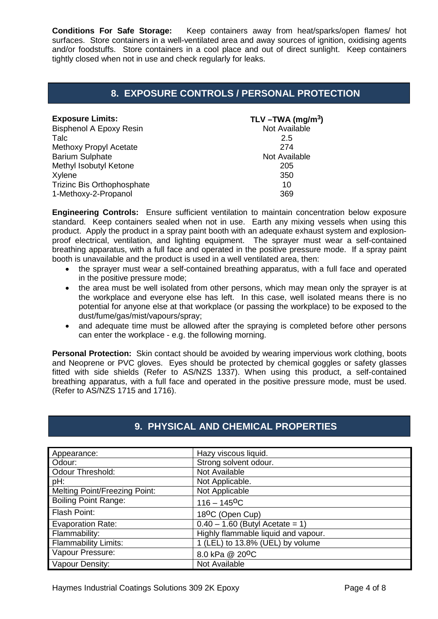**Conditions For Safe Storage:** Keep containers away from heat/sparks/open flames/ hot surfaces. Store containers in a well-ventilated area and away sources of ignition, oxidising agents and/or foodstuffs. Store containers in a cool place and out of direct sunlight. Keep containers tightly closed when not in use and check regularly for leaks.

## **8. EXPOSURE CONTROLS / PERSONAL PROTECTION**

| <b>Exposure Limits:</b>           | TLV $-TWA$ (mg/m <sup>3</sup> ) |
|-----------------------------------|---------------------------------|
| <b>Bisphenol A Epoxy Resin</b>    | Not Available                   |
| Talc                              | 2.5                             |
| <b>Methoxy Propyl Acetate</b>     | 274                             |
| <b>Barium Sulphate</b>            | Not Available                   |
| Methyl Isobutyl Ketone            | 205                             |
| Xylene                            | 350                             |
| <b>Trizinc Bis Orthophosphate</b> | 10                              |
| 1-Methoxy-2-Propanol              | 369                             |

**Engineering Controls:** Ensure sufficient ventilation to maintain concentration below exposure standard. Keep containers sealed when not in use. Earth any mixing vessels when using this product. Apply the product in a spray paint booth with an adequate exhaust system and explosionproof electrical, ventilation, and lighting equipment. The sprayer must wear a self-contained breathing apparatus, with a full face and operated in the positive pressure mode. If a spray paint booth is unavailable and the product is used in a well ventilated area, then:

- the sprayer must wear a self-contained breathing apparatus, with a full face and operated in the positive pressure mode;
- the area must be well isolated from other persons, which may mean only the sprayer is at the workplace and everyone else has left. In this case, well isolated means there is no potential for anyone else at that workplace (or passing the workplace) to be exposed to the dust/fume/gas/mist/vapours/spray;
- and adequate time must be allowed after the spraying is completed before other persons can enter the workplace - e.g. the following morning.

**Personal Protection:** Skin contact should be avoided by wearing impervious work clothing, boots and Neoprene or PVC gloves. Eyes should be protected by chemical goggles or safety glasses fitted with side shields (Refer to AS/NZS 1337). When using this product, a self-contained breathing apparatus, with a full face and operated in the positive pressure mode, must be used. (Refer to AS/NZS 1715 and 1716).

| Appearance:                          | Hazy viscous liquid.                |
|--------------------------------------|-------------------------------------|
| Odour:                               | Strong solvent odour.               |
| <b>Odour Threshold:</b>              | Not Available                       |
| pH:                                  | Not Applicable.                     |
| <b>Melting Point/Freezing Point:</b> | Not Applicable                      |
| <b>Boiling Point Range:</b>          | $116 - 145$ <sup>O</sup> C          |
| Flash Point:                         | 18 <sup>o</sup> C (Open Cup)        |
| <b>Evaporation Rate:</b>             | $0.40 - 1.60$ (Butyl Acetate = 1)   |
| Flammability:                        | Highly flammable liquid and vapour. |
| <b>Flammability Limits:</b>          | 1 (LEL) to 13.8% (UEL) by volume    |
| Vapour Pressure:                     | 8.0 kPa @ 20 <sup>o</sup> C         |
| Vapour Density:                      | Not Available                       |

## **9. PHYSICAL AND CHEMICAL PROPERTIES**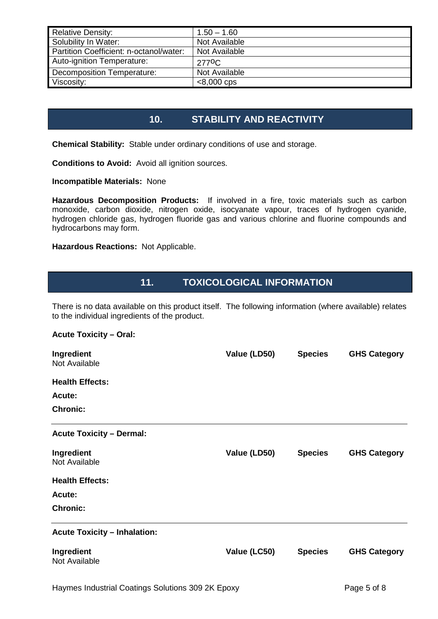| <b>Relative Density:</b>                | $1.50 - 1.60$      |
|-----------------------------------------|--------------------|
| Solubility In Water:                    | Not Available      |
| Partition Coefficient: n-octanol/water: | Not Available      |
| Auto-ignition Temperature:              | 277 <sup>0</sup> C |
| Decomposition Temperature:              | Not Available      |
| Viscosity:                              | $< 8,000$ cps      |

## **10. STABILITY AND REACTIVITY**

**Chemical Stability:** Stable under ordinary conditions of use and storage.

**Conditions to Avoid:** Avoid all ignition sources.

**Incompatible Materials:** None

**Hazardous Decomposition Products:** If involved in a fire, toxic materials such as carbon monoxide, carbon dioxide, nitrogen oxide, isocyanate vapour, traces of hydrogen cyanide, hydrogen chloride gas, hydrogen fluoride gas and various chlorine and fluorine compounds and hydrocarbons may form.

**Hazardous Reactions:** Not Applicable.

## **11. TOXICOLOGICAL INFORMATION**

There is no data available on this product itself. The following information (where available) relates to the individual ingredients of the product.

### **Acute Toxicity – Oral:**

| Ingredient<br>Not Available         | Value (LD50) | <b>Species</b> | <b>GHS Category</b> |
|-------------------------------------|--------------|----------------|---------------------|
| <b>Health Effects:</b>              |              |                |                     |
| <b>Acute:</b>                       |              |                |                     |
| <b>Chronic:</b>                     |              |                |                     |
| <b>Acute Toxicity - Dermal:</b>     |              |                |                     |
| Ingredient<br>Not Available         | Value (LD50) | <b>Species</b> | <b>GHS Category</b> |
| <b>Health Effects:</b>              |              |                |                     |
| Acute:                              |              |                |                     |
| <b>Chronic:</b>                     |              |                |                     |
| <b>Acute Toxicity - Inhalation:</b> |              |                |                     |
| Ingredient<br>Not Available         | Value (LC50) | <b>Species</b> | <b>GHS Category</b> |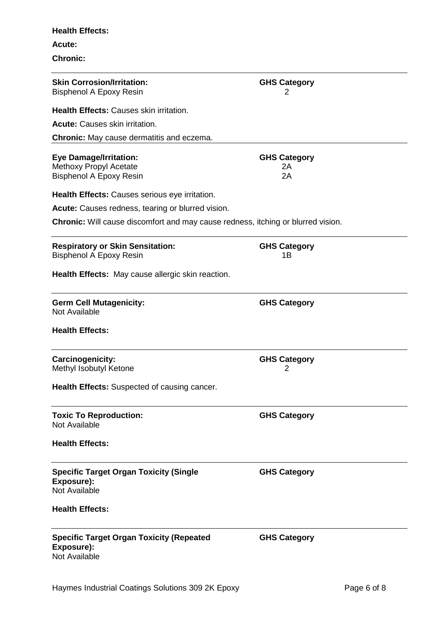# **Chronic: Skin Corrosion/Irritation: GHS Category** Bisphenol A Epoxy Resin 2 **Health Effects:** Causes skin irritation. **Acute:** Causes skin irritation. **Chronic:** May cause dermatitis and eczema. **Eye Damage/Irritation: GHS Category**<br>Methoxy Propyl Acetate **GHS Category** Methoxy Propyl Acetate Bisphenol A Epoxy Resin 2A **Health Effects:** Causes serious eye irritation. **Acute:** Causes redness, tearing or blurred vision. **Chronic:** Will cause discomfort and may cause redness, itching or blurred vision. **Respiratory or Skin Sensitation: GHS Category** Bisphenol A Epoxy Resin 1B **Health Effects:** May cause allergic skin reaction. **Germ Cell Mutagenicity: GHS Category** Not Available **Health Effects: Carcinogenicity: GHS Category** Methyl Isobutyl Ketone 2 **Health Effects:** Suspected of causing cancer. **Toxic To Reproduction: GHS Category** Not Available **Health Effects: Specific Target Organ Toxicity (Single Exposure): GHS Category** Not Available **Health Effects: Specific Target Organ Toxicity (Repeated Exposure): GHS Category** Not Available

**Health Effects:**

**Acute:**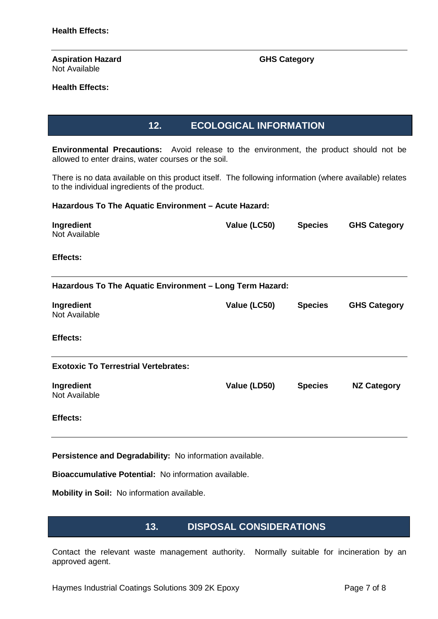#### **Aspiration Hazard GHS Category** Not Available

### **Health Effects:**

**12. ECOLOGICAL INFORMATION**

**Environmental Precautions:** Avoid release to the environment, the product should not be allowed to enter drains, water courses or the soil.

There is no data available on this product itself. The following information (where available) relates to the individual ingredients of the product.

### **Hazardous To The Aquatic Environment – Acute Hazard:**

| Ingredient<br>Not Available                              | Value (LC50) | <b>Species</b> | <b>GHS Category</b> |
|----------------------------------------------------------|--------------|----------------|---------------------|
| <b>Effects:</b>                                          |              |                |                     |
| Hazardous To The Aquatic Environment - Long Term Hazard: |              |                |                     |
| Ingredient<br>Not Available                              | Value (LC50) | <b>Species</b> | <b>GHS Category</b> |
| <b>Effects:</b>                                          |              |                |                     |
| <b>Exotoxic To Terrestrial Vertebrates:</b>              |              |                |                     |
| Ingredient<br>Not Available                              | Value (LD50) | <b>Species</b> | <b>NZ Category</b>  |
| Effects:                                                 |              |                |                     |

**Persistence and Degradability:** No information available.

**Bioaccumulative Potential:** No information available.

**Mobility in Soil:** No information available.

### **13. DISPOSAL CONSIDERATIONS**

Contact the relevant waste management authority. Normally suitable for incineration by an approved agent.